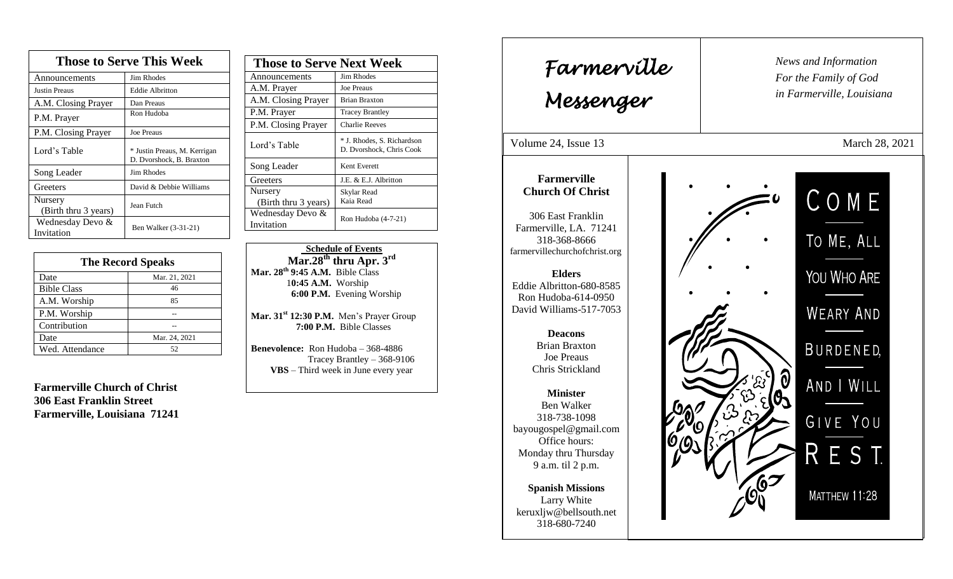| <b>Those to Serve This Week</b> |                                                          |  |
|---------------------------------|----------------------------------------------------------|--|
| Announcements                   | <b>Jim Rhodes</b>                                        |  |
| <b>Justin Preaus</b>            | <b>Eddie Albritton</b>                                   |  |
| A.M. Closing Prayer             | Dan Preaus                                               |  |
| P.M. Prayer                     | Ron Hudoba                                               |  |
| P.M. Closing Prayer             | Joe Preaus                                               |  |
| Lord's Table                    | * Justin Preaus, M. Kerrigan<br>D. Dvorshock, B. Braxton |  |
| Song Leader                     | Jim Rhodes                                               |  |
| Greeters                        | David & Debbie Williams                                  |  |
| Nursery<br>(Birth thru 3 years) | Jean Futch                                               |  |
| Wednesday Devo &<br>Invitation  | Ben Walker (3-31-21)                                     |  |

| <b>The Record Speaks</b> |               |
|--------------------------|---------------|
| Date                     | Mar. 21, 2021 |
| <b>Bible Class</b>       | 46            |
| A.M. Worship             | 85            |
| P.M. Worship             |               |
| Contribution             |               |
| Date                     | Mar. 24, 2021 |
| Wed. Attendance          | 52.           |

**Farmerville Church of Christ 306 East Franklin Street Farmerville, Louisiana 71241**

| <b>Those to Serve Next Week</b> |                                                        |
|---------------------------------|--------------------------------------------------------|
| Announcements                   | Jim Rhodes                                             |
| A.M. Prayer                     | <b>Joe Preaus</b>                                      |
| A.M. Closing Prayer             | <b>Brian Braxton</b>                                   |
| P.M. Prayer                     | <b>Tracey Brantley</b>                                 |
| P.M. Closing Prayer             | <b>Charlie Reeves</b>                                  |
| Lord's Table                    | * J. Rhodes, S. Richardson<br>D. Dvorshock, Chris Cook |
| Song Leader                     | Kent Everett                                           |
| Greeters                        | J.E. & E.J. Albritton                                  |
| Nursery<br>(Birth thru 3 years) | Skylar Read<br>Kaia Read                               |
| Wednesday Devo &<br>Invitation  | Ron Hudoba (4-7-21)                                    |

 **Schedule of Events Mar.28th thru Apr. 3 rd Mar. 28 th 9:45 A.M.** Bible Class 1**0:45 A.M.** Worship  **6:00 P.M.** Evening Worship

**Mar. 31st 12:30 P.M.** Men's Prayer Group **7:00 P.M.** Bible Classes

**Benevolence:** Ron Hudoba – 368-4886 Tracey Brantley – 368-9106 **VBS** – Third week in June every year

*News and Information* **Farmerville**  $\begin{bmatrix} \text{News an} \\ \text{For the} \end{bmatrix}$ *For the Family of God in Farmerville, Louisiana Messenger*  Volume 24, Issue 13 March 28, 2021 , 2015 **Farmerville Church Of Christ** COME 306 East Franklin Farmerville, LA. 71241 TO ME, ALL 318-368-8666 farmervillechurchofchrist.org YOU WHO ARE **Elders** Eddie Albritton-680-8585 Ron Hudoba-614-0950 David Williams-517-7053 **WEARY AND Deacons**  Brian Braxton BURDENED, Joe Preaus Chris Strickland ) 0<br>(0) AND I WILL **Minister** Ben Walker 318-738-1098 GIVE YOU bayougospel@gmail.com Office hours: ES Monday thru Thursday 9 a.m. til 2 p.m. **Spanish Missions** MATTHEW 11:28 Larry White keruxljw@bellsouth.net 318-680-7240